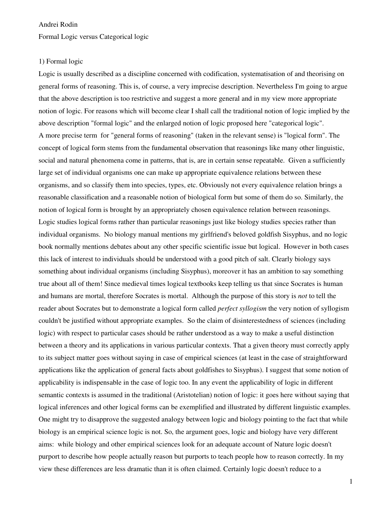## Andrei Rodin

Formal Logic versus Categorical logic

#### 1) Formal logic

Logic is usually described as a discipline concerned with codification, systematisation of and theorising on general forms of reasoning. This is, of course, a very imprecise description. Nevertheless I'm going to argue that the above description is too restrictive and suggest a more general and in my view more appropriate notion of logic. For reasons which will become clear I shall call the traditional notion of logic implied by the above description "formal logic" and the enlarged notion of logic proposed here "categorical logic". A more precise term for "general forms of reasoning" (taken in the relevant sense) is "logical form". The concept of logical form stems from the fundamental observation that reasonings like many other linguistic, social and natural phenomena come in patterns, that is, are in certain sense repeatable. Given a sufficiently large set of individual organisms one can make up appropriate equivalence relations between these organisms, and so classify them into species, types, etc. Obviously not every equivalence relation brings a reasonable classification and a reasonable notion of biological form but some of them do so. Similarly, the notion of logical form is brought by an appropriately chosen equivalence relation between reasonings. Logic studies logical forms rather than particular reasonings just like biology studies species rather than individual organisms. No biology manual mentions my girlfriend's beloved goldfish Sisyphus, and no logic book normally mentions debates about any other specific scientific issue but logical. However in both cases this lack of interest to individuals should be understood with a good pitch of salt. Clearly biology says something about individual organisms (including Sisyphus), moreover it has an ambition to say something true about all of them! Since medieval times logical textbooks keep telling us that since Socrates is human and humans are mortal, therefore Socrates is mortal. Although the purpose of this story is *not* to tell the reader about Socrates but to demonstrate a logical form called *perfect syllogism* the very notion of syllogism couldn't be justified without appropriate examples. So the claim of disinterestedness of sciences (including logic) with respect to particular cases should be rather understood as a way to make a useful distinction between a theory and its applications in various particular contexts. That a given theory must correctly apply to its subject matter goes without saying in case of empirical sciences (at least in the case of straightforward applications like the application of general facts about goldfishes to Sisyphus). I suggest that some notion of applicability is indispensable in the case of logic too. In any event the applicability of logic in different semantic contexts is assumed in the traditional (Aristotelian) notion of logic: it goes here without saying that logical inferences and other logical forms can be exemplified and illustrated by different linguistic examples. One might try to disapprove the suggested analogy between logic and biology pointing to the fact that while biology is an empirical science logic is not. So, the argument goes, logic and biology have very different aims: while biology and other empirical sciences look for an adequate account of Nature logic doesn't purport to describe how people actually reason but purports to teach people how to reason correctly. In my view these differences are less dramatic than it is often claimed. Certainly logic doesn't reduce to a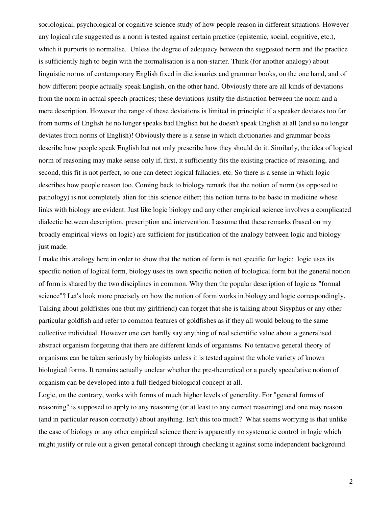sociological, psychological or cognitive science study of how people reason in different situations. However any logical rule suggested as a norm is tested against certain practice (epistemic, social, cognitive, etc.), which it purports to normalise. Unless the degree of adequacy between the suggested norm and the practice is sufficiently high to begin with the normalisation is a non-starter. Think (for another analogy) about linguistic norms of contemporary English fixed in dictionaries and grammar books, on the one hand, and of how different people actually speak English, on the other hand. Obviously there are all kinds of deviations from the norm in actual speech practices; these deviations justify the distinction between the norm and a mere description. However the range of these deviations is limited in principle: if a speaker deviates too far from norms of English he no longer speaks bad English but he doesn't speak English at all (and so no longer deviates from norms of English)! Obviously there is a sense in which dictionaries and grammar books describe how people speak English but not only prescribe how they should do it. Similarly, the idea of logical norm of reasoning may make sense only if, first, it sufficiently fits the existing practice of reasoning, and second, this fit is not perfect, so one can detect logical fallacies, etc. So there is a sense in which logic describes how people reason too. Coming back to biology remark that the notion of norm (as opposed to pathology) is not completely alien for this science either; this notion turns to be basic in medicine whose links with biology are evident. Just like logic biology and any other empirical science involves a complicated dialectic between description, prescription and intervention. I assume that these remarks (based on my broadly empirical views on logic) are sufficient for justification of the analogy between logic and biology just made.

I make this analogy here in order to show that the notion of form is not specific for logic: logic uses its specific notion of logical form, biology uses its own specific notion of biological form but the general notion of form is shared by the two disciplines in common. Why then the popular description of logic as "formal science"? Let's look more precisely on how the notion of form works in biology and logic correspondingly. Talking about goldfishes one (but my girlfriend) can forget that she is talking about Sisyphus or any other particular goldfish and refer to common features of goldfishes as if they all would belong to the same collective individual. However one can hardly say anything of real scientific value about a generalised abstract organism forgetting that there are different kinds of organisms. No tentative general theory of organisms can be taken seriously by biologists unless it is tested against the whole variety of known biological forms. It remains actually unclear whether the pre-theoretical or a purely speculative notion of organism can be developed into a full-fledged biological concept at all.

Logic, on the contrary, works with forms of much higher levels of generality. For "general forms of reasoning" is supposed to apply to any reasoning (or at least to any correct reasoning) and one may reason (and in particular reason correctly) about anything. Isn't this too much? What seems worrying is that unlike the case of biology or any other empirical science there is apparently no systematic control in logic which might justify or rule out a given general concept through checking it against some independent background.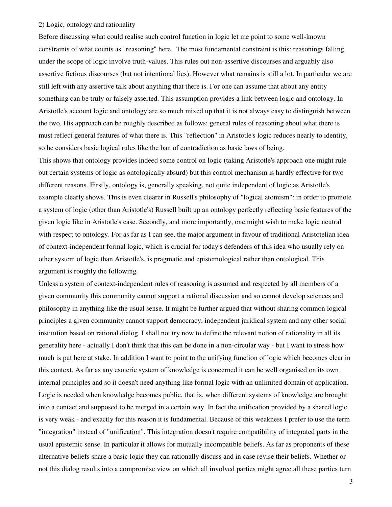# 2) Logic, ontology and rationality

Before discussing what could realise such control function in logic let me point to some well-known constraints of what counts as "reasoning" here. The most fundamental constraint is this: reasonings falling under the scope of logic involve truth-values. This rules out non-assertive discourses and arguably also assertive fictious discourses (but not intentional lies). However what remains is still a lot. In particular we are still left with any assertive talk about anything that there is. For one can assume that about any entity something can be truly or falsely asserted. This assumption provides a link between logic and ontology. In Aristotle's account logic and ontology are so much mixed up that it is not always easy to distinguish between the two. His approach can be roughly described as follows: general rules of reasoning about what there is must reflect general features of what there is. This "reflection" in Aristotle's logic reduces nearly to identity, so he considers basic logical rules like the ban of contradiction as basic laws of being.

This shows that ontology provides indeed some control on logic (taking Aristotle's approach one might rule out certain systems of logic as ontologically absurd) but this control mechanism is hardly effective for two different reasons. Firstly, ontology is, generally speaking, not quite independent of logic as Aristotle's example clearly shows. This is even clearer in Russell's philosophy of "logical atomism": in order to promote a system of logic (other than Aristotle's) Russell built up an ontology perfectly reflecting basic features of the given logic like in Aristotle's case. Secondly, and more importantly, one might wish to make logic neutral with respect to ontology. For as far as I can see, the major argument in favour of traditional Aristotelian idea of context-independent formal logic, which is crucial for today's defenders of this idea who usually rely on other system of logic than Aristotle's, is pragmatic and epistemological rather than ontological. This argument is roughly the following.

Unless a system of context-independent rules of reasoning is assumed and respected by all members of a given community this community cannot support a rational discussion and so cannot develop sciences and philosophy in anything like the usual sense. It might be further argued that without sharing common logical principles a given community cannot support democracy, independent juridical system and any other social institution based on rational dialog. I shall not try now to define the relevant notion of rationality in all its generality here - actually I don't think that this can be done in a non-circular way - but I want to stress how much is put here at stake. In addition I want to point to the unifying function of logic which becomes clear in this context. As far as any esoteric system of knowledge is concerned it can be well organised on its own internal principles and so it doesn't need anything like formal logic with an unlimited domain of application. Logic is needed when knowledge becomes public, that is, when different systems of knowledge are brought into a contact and supposed to be merged in a certain way. In fact the unification provided by a shared logic is very weak - and exactly for this reason it is fundamental. Because of this weakness I prefer to use the term "integration" instead of "unification". This integration doesn't require compatibility of integrated parts in the usual epistemic sense. In particular it allows for mutually incompatible beliefs. As far as proponents of these alternative beliefs share a basic logic they can rationally discuss and in case revise their beliefs. Whether or not this dialog results into a compromise view on which all involved parties might agree all these parties turn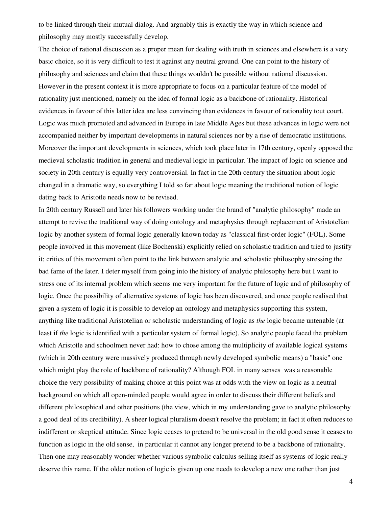to be linked through their mutual dialog. And arguably this is exactly the way in which science and philosophy may mostly successfully develop.

The choice of rational discussion as a proper mean for dealing with truth in sciences and elsewhere is a very basic choice, so it is very difficult to test it against any neutral ground. One can point to the history of philosophy and sciences and claim that these things wouldn't be possible without rational discussion. However in the present context it is more appropriate to focus on a particular feature of the model of rationality just mentioned, namely on the idea of formal logic as a backbone of rationality. Historical evidences in favour of this latter idea are less convincing than evidences in favour of rationality tout court. Logic was much promoted and advanced in Europe in late Middle Ages but these advances in logic were not accompanied neither by important developments in natural sciences nor by a rise of democratic institutions. Moreover the important developments in sciences, which took place later in 17th century, openly opposed the medieval scholastic tradition in general and medieval logic in particular. The impact of logic on science and society in 20th century is equally very controversial. In fact in the 20th century the situation about logic changed in a dramatic way, so everything I told so far about logic meaning the traditional notion of logic dating back to Aristotle needs now to be revised.

In 20th century Russell and later his followers working under the brand of "analytic philosophy" made an attempt to revive the traditional way of doing ontology and metaphysics through replacement of Aristotelian logic by another system of formal logic generally known today as "classical first-order logic" (FOL). Some people involved in this movement (like Bochenski) explicitly relied on scholastic tradition and tried to justify it; critics of this movement often point to the link between analytic and scholastic philosophy stressing the bad fame of the later. I deter myself from going into the history of analytic philosophy here but I want to stress one of its internal problem which seems me very important for the future of logic and of philosophy of logic. Once the possibility of alternative systems of logic has been discovered, and once people realised that given a system of logic it is possible to develop an ontology and metaphysics supporting this system, anything like traditional Aristotelian or scholastic understanding of logic as *the* logic became untenable (at least if *the* logic is identified with a particular system of formal logic). So analytic people faced the problem which Aristotle and schoolmen never had: how to chose among the multiplicity of available logical systems (which in 20th century were massively produced through newly developed symbolic means) a "basic" one which might play the role of backbone of rationality? Although FOL in many senses was a reasonable choice the very possibility of making choice at this point was at odds with the view on logic as a neutral background on which all open-minded people would agree in order to discuss their different beliefs and different philosophical and other positions (the view, which in my understanding gave to analytic philosophy a good deal of its credibility). A sheer logical pluralism doesn't resolve the problem; in fact it often reduces to indifferent or skeptical attitude. Since logic ceases to pretend to be universal in the old good sense it ceases to function as logic in the old sense, in particular it cannot any longer pretend to be a backbone of rationality. Then one may reasonably wonder whether various symbolic calculus selling itself as systems of logic really deserve this name. If the older notion of logic is given up one needs to develop a new one rather than just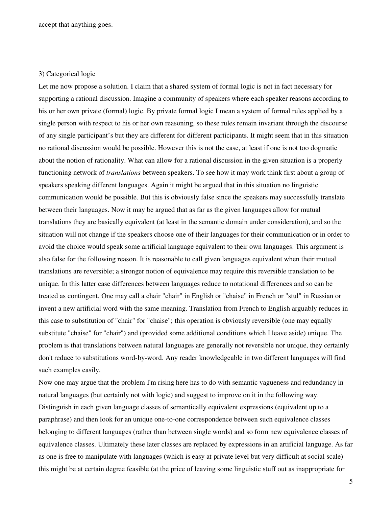accept that anything goes.

### 3) Categorical logic

Let me now propose a solution. I claim that a shared system of formal logic is not in fact necessary for supporting a rational discussion. Imagine a community of speakers where each speaker reasons according to his or her own private (formal) logic. By private formal logic I mean a system of formal rules applied by a single person with respect to his or her own reasoning, so these rules remain invariant through the discourse of any single participant's but they are different for different participants. It might seem that in this situation no rational discussion would be possible. However this is not the case, at least if one is not too dogmatic about the notion of rationality. What can allow for a rational discussion in the given situation is a properly functioning network of *translations* between speakers. To see how it may work think first about a group of speakers speaking different languages. Again it might be argued that in this situation no linguistic communication would be possible. But this is obviously false since the speakers may successfully translate between their languages. Now it may be argued that as far as the given languages allow for mutual translations they are basically equivalent (at least in the semantic domain under consideration), and so the situation will not change if the speakers choose one of their languages for their communication or in order to avoid the choice would speak some artificial language equivalent to their own languages. This argument is also false for the following reason. It is reasonable to call given languages equivalent when their mutual translations are reversible; a stronger notion of equivalence may require this reversible translation to be unique. In this latter case differences between languages reduce to notational differences and so can be treated as contingent. One may call a chair "chair" in English or "chaise" in French or "stul" in Russian or invent a new artificial word with the same meaning. Translation from French to English arguably reduces in this case to substitution of "chair" for "chaise"; this operation is obviously reversible (one may equally substitute "chaise" for "chair") and (provided some additional conditions which I leave aside) unique. The problem is that translations between natural languages are generally not reversible nor unique, they certainly don't reduce to substitutions word-by-word. Any reader knowledgeable in two different languages will find such examples easily.

Now one may argue that the problem I'm rising here has to do with semantic vagueness and redundancy in natural languages (but certainly not with logic) and suggest to improve on it in the following way. Distinguish in each given language classes of semantically equivalent expressions (equivalent up to a paraphrase) and then look for an unique one-to-one correspondence between such equivalence classes belonging to different languages (rather than between single words) and so form new equivalence classes of equivalence classes. Ultimately these later classes are replaced by expressions in an artificial language. As far as one is free to manipulate with languages (which is easy at private level but very difficult at social scale) this might be at certain degree feasible (at the price of leaving some linguistic stuff out as inappropriate for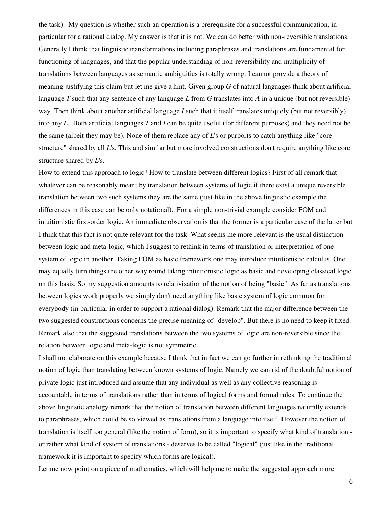the task). My question is whether such an operation is a prerequisite for a successful communication, in particular for a rational dialog. My answer is that it is not. We can do better with non-reversible translations. Generally I think that linguistic transformations including paraphrases and translations are fundamental for functioning of languages, and that the popular understanding of non-reversibility and multiplicity of translations between languages as semantic ambiguities is totally wrong. I cannot provide a theory of meaning justifying this claim but let me give a hint. Given group *G* of natural languages think about artificial language *T* such that any sentence of any language *L* from *G* translates into *A* in a unique (but not reversible) way. Then think about another artificial language *I* such that it itself translates uniquely (but not reversibly) into any *L*. Both artificial languages *T* and *I* can be quite useful (for different purposes) and they need not be the same (albeit they may be). None of them replace any of *L*'s or purports to catch anything like "core structure" shared by all *L*'s. This and similar but more involved constructions don't require anything like core structure shared by *L*'s.

How to extend this approach to logic? How to translate between different logics? First of all remark that whatever can be reasonably meant by translation between systems of logic if there exist a unique reversible translation between two such systems they are the same (just like in the above linguistic example the differences in this case can be only notational). For a simple non-trivial example consider FOM and intuitionistic first-order logic. An immediate observation is that the former is a particular case of the latter but I think that this fact is not quite relevant for the task. What seems me more relevant is the usual distinction between logic and meta-logic, which I suggest to rethink in terms of translation or interpretation of one system of logic in another. Taking FOM as basic framework one may introduce intuitionistic calculus. One may equally turn things the other way round taking intuitionistic logic as basic and developing classical logic on this basis. So my suggestion amounts to relativisation of the notion of being "basic". As far as translations between logics work properly we simply don't need anything like basic system of logic common for everybody (in particular in order to support a rational dialog). Remark that the major difference between the two suggested constructions concerns the precise meaning of "develop". But there is no need to keep it fixed. Remark also that the suggested translations between the two systems of logic are non-reversible since the relation between logic and meta-logic is not symmetric.

I shall not elaborate on this example because I think that in fact we can go further in rethinking the traditional notion of logic than translating between known systems of logic. Namely we can rid of the doubtful notion of private logic just introduced and assume that any individual as well as any collective reasoning is accountable in terms of translations rather than in terms of logical forms and formal rules. To continue the above linguistic analogy remark that the notion of translation between different languages naturally extends to paraphrases, which could be so viewed as translations from a language into itself. However the notion of translation is itself too general (like the notion of form), so it is important to specify what kind of translation or rather what kind of system of translations - deserves to be called "logical" (just like in the traditional framework it is important to specify which forms are logical).

Let me now point on a piece of mathematics, which will help me to make the suggested approach more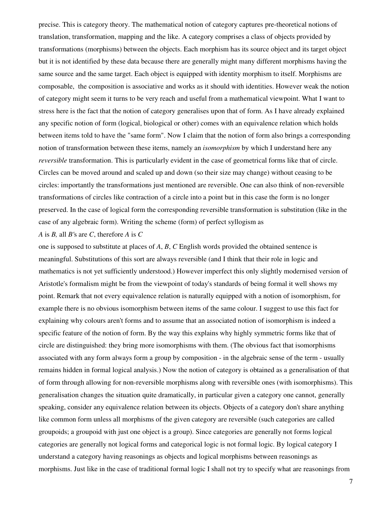precise. This is category theory. The mathematical notion of category captures pre-theoretical notions of translation, transformation, mapping and the like. A category comprises a class of objects provided by transformations (morphisms) between the objects. Each morphism has its source object and its target object but it is not identified by these data because there are generally might many different morphisms having the same source and the same target. Each object is equipped with identity morphism to itself. Morphisms are composable, the composition is associative and works as it should with identities. However weak the notion of category might seem it turns to be very reach and useful from a mathematical viewpoint. What I want to stress here is the fact that the notion of category generalises upon that of form. As I have already explained any specific notion of form (logical, biological or other) comes with an equivalence relation which holds between items told to have the "same form". Now I claim that the notion of form also brings a corresponding notion of transformation between these items, namely an *isomorphism* by which I understand here any *reversible* transformation. This is particularly evident in the case of geometrical forms like that of circle. Circles can be moved around and scaled up and down (so their size may change) without ceasing to be circles: importantly the transformations just mentioned are reversible. One can also think of non-reversible transformations of circles like contraction of a circle into a point but in this case the form is no longer preserved. In the case of logical form the corresponding reversible transformation is substitution (like in the case of any algebraic form). Writing the scheme (form) of perfect syllogism as

### *A* is *B,* all *B'*s are *C*, therefore *A* is *C*

one is supposed to substitute at places of *A*, *B*, *C* English words provided the obtained sentence is meaningful. Substitutions of this sort are always reversible (and I think that their role in logic and mathematics is not yet sufficiently understood.) However imperfect this only slightly modernised version of Aristotle's formalism might be from the viewpoint of today's standards of being formal it well shows my point. Remark that not every equivalence relation is naturally equipped with a notion of isomorphism, for example there is no obvious isomorphism between items of the same colour. I suggest to use this fact for explaining why colours aren't forms and to assume that an associated notion of isomorphism is indeed a specific feature of the notion of form. By the way this explains why highly symmetric forms like that of circle are distinguished: they bring more isomorphisms with them. (The obvious fact that isomorphisms associated with any form always form a group by composition - in the algebraic sense of the term - usually remains hidden in formal logical analysis.) Now the notion of category is obtained as a generalisation of that of form through allowing for non-reversible morphisms along with reversible ones (with isomorphisms). This generalisation changes the situation quite dramatically, in particular given a category one cannot, generally speaking, consider any equivalence relation between its objects. Objects of a category don't share anything like common form unless all morphisms of the given category are reversible (such categories are called groupoids; a groupoid with just one object is a group). Since categories are generally not forms logical categories are generally not logical forms and categorical logic is not formal logic. By logical category I understand a category having reasonings as objects and logical morphisms between reasonings as morphisms. Just like in the case of traditional formal logic I shall not try to specify what are reasonings from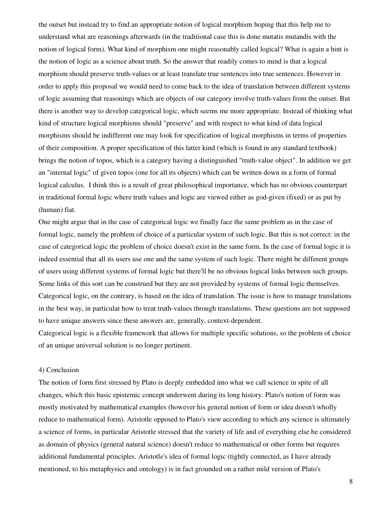the outset but instead try to find an appropriate notion of logical morphism hoping that this help me to understand what are reasonings afterwards (in the traditional case this is done mutatis mutandis with the notion of logical form). What kind of morphism one might reasonably called logical? What is again a hint is the notion of logic as a science about truth. So the answer that readily comes to mind is that a logical morphism should preserve truth-values or at least translate true sentences into true sentences. However in order to apply this proposal we would need to come back to the idea of translation between different systems of logic assuming that reasonings which are objects of our category involve truth-values from the outset. But there is another way to develop categorical logic, which seems me more appropriate. Instead of thinking what kind of structure logical morphisms should "preserve" and with respect to what kind of data logical morphisms should be indifferent one may look for specification of logical morphisms in terms of properties of their composition. A proper specification of this latter kind (which is found in any standard textbook) brings the notion of topos, which is a category having a distinguished "truth-value object". In addition we get an "internal logic" of given topos (one for all its objects) which can be written down in a form of formal logical calculus. I think this is a result of great philosophical importance, which has no obvious counterpart in traditional formal logic where truth values and logic are viewed either as god-given (fixed) or as put by (human) fiat.

One might argue that in the case of categorical logic we finally face the same problem as in the case of formal logic, namely the problem of choice of a particular system of such logic. But this is not correct: in the case of categorical logic the problem of choice doesn't exist in the same form. In the case of formal logic it is indeed essential that all its users use one and the same system of such logic. There might be different groups of users using different systems of formal logic but there'll be no obvious logical links between such groups. Some links of this sort can be construed but they are not provided by systems of formal logic themselves. Categorical logic, on the contrary, is based on the idea of translation. The issue is how to manage translations in the best way, in particular how to treat truth-values through translations. These questions are not supposed to have unique answers since these answers are, generally, context-dependent.

Categorical logic is a flexible framework that allows for multiple specific solutions, so the problem of choice of an unique universal solution is no longer pertinent.

# 4) Conclusion

The notion of form first stressed by Plato is deeply embedded into what we call science in spite of all changes, which this basic epistemic concept underwent during its long history. Plato's notion of form was mostly motivated by mathematical examples (however his general notion of form or idea doesn't wholly reduce to mathematical form). Aristotle opposed to Plato's view according to which any science is ultimately a science of forms, in particular Aristotle stressed that the variety of life and of everything else he considered as domain of physics (general natural science) doesn't reduce to mathematical or other forms but requires additional fundamental principles. Aristotle's idea of formal logic (tightly connected, as I have already mentioned, to his metaphysics and ontology) is in fact grounded on a rather mild version of Plato's